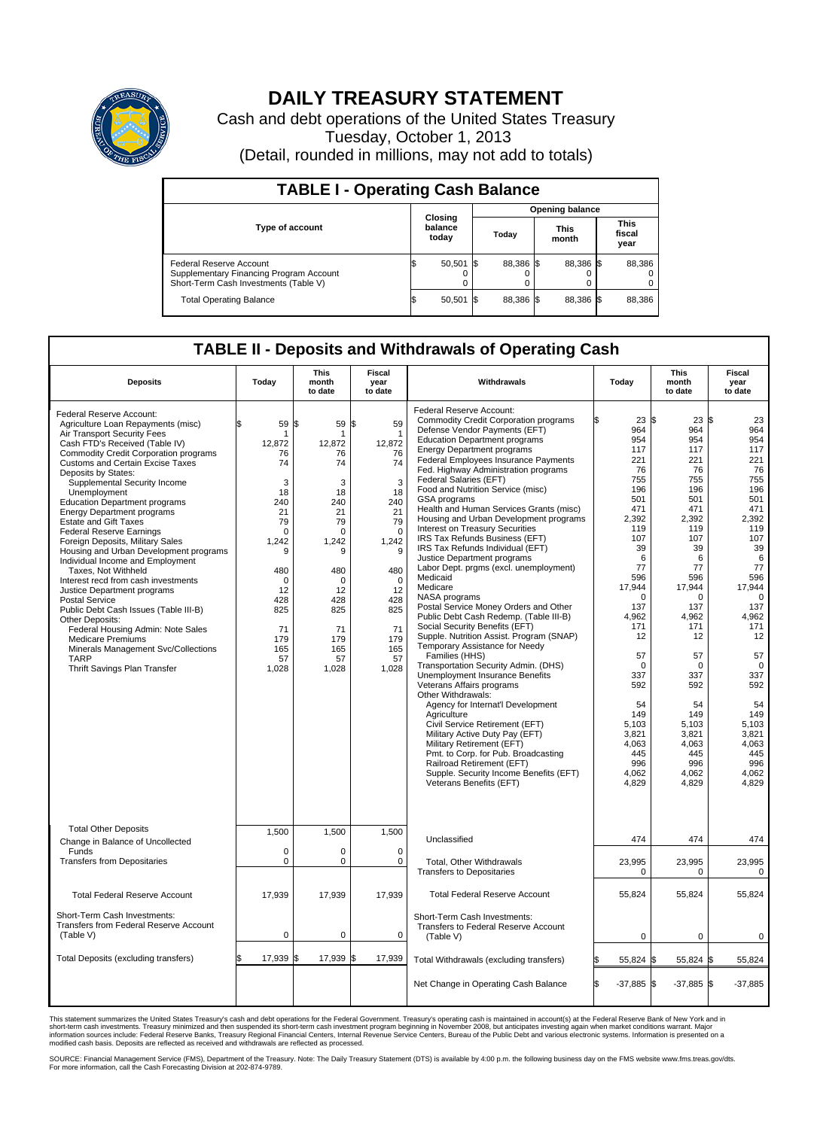

## **DAILY TREASURY STATEMENT**

Cash and debt operations of the United States Treasury Tuesday, October 1, 2013 (Detail, rounded in millions, may not add to totals)

| <b>TABLE I - Operating Cash Balance</b>                                                                     |  |                             |  |                        |  |                      |  |                               |  |  |
|-------------------------------------------------------------------------------------------------------------|--|-----------------------------|--|------------------------|--|----------------------|--|-------------------------------|--|--|
|                                                                                                             |  |                             |  | <b>Opening balance</b> |  |                      |  |                               |  |  |
| <b>Type of account</b>                                                                                      |  | Closing<br>balance<br>today |  | Today                  |  | <b>This</b><br>month |  | <b>This</b><br>fiscal<br>year |  |  |
| Federal Reserve Account<br>Supplementary Financing Program Account<br>Short-Term Cash Investments (Table V) |  | $50,501$ \$                 |  | 88.386 \$              |  | 88.386 \$            |  | 88,386                        |  |  |
| <b>Total Operating Balance</b>                                                                              |  | $50,501$ \$                 |  | 88.386 \$              |  | 88,386 \$            |  | 88,386                        |  |  |

## **TABLE II - Deposits and Withdrawals of Operating Cash**

| <b>Deposits</b>                                                                                                                                                                                                                                                                                                                                                                                                                                                                                                                                                                                                                                                                                                                                                                                                                                                                                              | Today                                                                                                                                                                    | <b>This</b><br><b>Fiscal</b><br>Withdrawals<br>month<br>year<br>to date<br>to date                                                                                    |                                                                                                                                                                                    |                                                                                                                                                                                                                                                                                                                                                                                                                                                                                                                                                                                                                                                                                                                                                                                                                                                                                                                                                                                                                                                                                                                                                                                                                                                                                                                               |                                                                                                                                                                                                                                                                                | This<br>month<br>to date                                                                                                                                                                                                                                                     | <b>Fiscal</b><br>year<br>to date                                                                                                                                                                                                                                              |
|--------------------------------------------------------------------------------------------------------------------------------------------------------------------------------------------------------------------------------------------------------------------------------------------------------------------------------------------------------------------------------------------------------------------------------------------------------------------------------------------------------------------------------------------------------------------------------------------------------------------------------------------------------------------------------------------------------------------------------------------------------------------------------------------------------------------------------------------------------------------------------------------------------------|--------------------------------------------------------------------------------------------------------------------------------------------------------------------------|-----------------------------------------------------------------------------------------------------------------------------------------------------------------------|------------------------------------------------------------------------------------------------------------------------------------------------------------------------------------|-------------------------------------------------------------------------------------------------------------------------------------------------------------------------------------------------------------------------------------------------------------------------------------------------------------------------------------------------------------------------------------------------------------------------------------------------------------------------------------------------------------------------------------------------------------------------------------------------------------------------------------------------------------------------------------------------------------------------------------------------------------------------------------------------------------------------------------------------------------------------------------------------------------------------------------------------------------------------------------------------------------------------------------------------------------------------------------------------------------------------------------------------------------------------------------------------------------------------------------------------------------------------------------------------------------------------------|--------------------------------------------------------------------------------------------------------------------------------------------------------------------------------------------------------------------------------------------------------------------------------|------------------------------------------------------------------------------------------------------------------------------------------------------------------------------------------------------------------------------------------------------------------------------|-------------------------------------------------------------------------------------------------------------------------------------------------------------------------------------------------------------------------------------------------------------------------------|
| Federal Reserve Account:<br>Agriculture Loan Repayments (misc)<br>Air Transport Security Fees<br>Cash FTD's Received (Table IV)<br><b>Commodity Credit Corporation programs</b><br><b>Customs and Certain Excise Taxes</b><br>Deposits by States:<br>Supplemental Security Income<br>Unemployment<br><b>Education Department programs</b><br><b>Energy Department programs</b><br><b>Estate and Gift Taxes</b><br><b>Federal Reserve Earnings</b><br>Foreign Deposits, Military Sales<br>Housing and Urban Development programs<br>Individual Income and Employment<br>Taxes, Not Withheld<br>Interest recd from cash investments<br>Justice Department programs<br><b>Postal Service</b><br>Public Debt Cash Issues (Table III-B)<br>Other Deposits:<br>Federal Housing Admin: Note Sales<br><b>Medicare Premiums</b><br>Minerals Management Svc/Collections<br><b>TARP</b><br>Thrift Savings Plan Transfer | 59<br>\$<br>1<br>12,872<br>76<br>74<br>3<br>18<br>240<br>21<br>79<br>$\mathbf 0$<br>1,242<br>9<br>480<br>$\Omega$<br>12<br>428<br>825<br>71<br>179<br>165<br>57<br>1,028 | \$<br>59<br>1<br>12,872<br>76<br>74<br>3<br>18<br>240<br>21<br>79<br>$\Omega$<br>1,242<br>9<br>480<br>$\Omega$<br>12<br>428<br>825<br>71<br>179<br>165<br>57<br>1,028 | \$<br>59<br>$\mathbf 1$<br>12,872<br>76<br>74<br>3<br>18<br>240<br>21<br>79<br>$\mathbf 0$<br>1,242<br>9<br>480<br>$\Omega$<br>12<br>428<br>825<br>71<br>179<br>165<br>57<br>1,028 | Federal Reserve Account:<br><b>Commodity Credit Corporation programs</b><br>Defense Vendor Payments (EFT)<br><b>Education Department programs</b><br><b>Energy Department programs</b><br><b>Federal Employees Insurance Payments</b><br>Fed. Highway Administration programs<br>Federal Salaries (EFT)<br>Food and Nutrition Service (misc)<br>GSA programs<br>Health and Human Services Grants (misc)<br>Housing and Urban Development programs<br>Interest on Treasury Securities<br>IRS Tax Refunds Business (EFT)<br>IRS Tax Refunds Individual (EFT)<br>Justice Department programs<br>Labor Dept. prgms (excl. unemployment)<br>Medicaid<br>Medicare<br>NASA programs<br>Postal Service Money Orders and Other<br>Public Debt Cash Redemp. (Table III-B)<br>Social Security Benefits (EFT)<br>Supple. Nutrition Assist. Program (SNAP)<br>Temporary Assistance for Needy<br>Families (HHS)<br>Transportation Security Admin. (DHS)<br>Unemployment Insurance Benefits<br>Veterans Affairs programs<br>Other Withdrawals:<br>Agency for Internat'l Development<br>Agriculture<br>Civil Service Retirement (EFT)<br>Military Active Duty Pay (EFT)<br>Military Retirement (EFT)<br>Pmt. to Corp. for Pub. Broadcasting<br>Railroad Retirement (EFT)<br>Supple. Security Income Benefits (EFT)<br>Veterans Benefits (EFT) | 23S<br>964<br>954<br>117<br>221<br>76<br>755<br>196<br>501<br>471<br>2,392<br>119<br>107<br>39<br>6<br>77<br>596<br>17,944<br>$\Omega$<br>137<br>4,962<br>171<br>12<br>57<br>$\mathbf 0$<br>337<br>592<br>54<br>149<br>5,103<br>3,821<br>4,063<br>445<br>996<br>4,062<br>4,829 | 23 S<br>964<br>954<br>117<br>221<br>76<br>755<br>196<br>501<br>471<br>2,392<br>119<br>107<br>39<br>6<br>77<br>596<br>17,944<br>$\Omega$<br>137<br>4,962<br>171<br>12<br>57<br>$\Omega$<br>337<br>592<br>54<br>149<br>5,103<br>3,821<br>4,063<br>445<br>996<br>4,062<br>4,829 | 23<br>964<br>954<br>117<br>221<br>76<br>755<br>196<br>501<br>471<br>2,392<br>119<br>107<br>39<br>6<br>77<br>596<br>17,944<br>$\Omega$<br>137<br>4,962<br>171<br>12<br>57<br>$\mathbf 0$<br>337<br>592<br>54<br>149<br>5.103<br>3.821<br>4,063<br>445<br>996<br>4,062<br>4,829 |
| <b>Total Other Deposits</b><br>Change in Balance of Uncollected                                                                                                                                                                                                                                                                                                                                                                                                                                                                                                                                                                                                                                                                                                                                                                                                                                              | 1,500                                                                                                                                                                    | 1,500                                                                                                                                                                 | 1,500                                                                                                                                                                              | Unclassified                                                                                                                                                                                                                                                                                                                                                                                                                                                                                                                                                                                                                                                                                                                                                                                                                                                                                                                                                                                                                                                                                                                                                                                                                                                                                                                  | 474                                                                                                                                                                                                                                                                            | 474                                                                                                                                                                                                                                                                          | 474                                                                                                                                                                                                                                                                           |
| Funds<br><b>Transfers from Depositaries</b>                                                                                                                                                                                                                                                                                                                                                                                                                                                                                                                                                                                                                                                                                                                                                                                                                                                                  | $\mathbf 0$<br>$\pmb{0}$                                                                                                                                                 | 0<br>0                                                                                                                                                                | 0<br>$\mathbf 0$                                                                                                                                                                   | Total, Other Withdrawals<br><b>Transfers to Depositaries</b>                                                                                                                                                                                                                                                                                                                                                                                                                                                                                                                                                                                                                                                                                                                                                                                                                                                                                                                                                                                                                                                                                                                                                                                                                                                                  | 23,995<br>0                                                                                                                                                                                                                                                                    | 23,995<br>0                                                                                                                                                                                                                                                                  | 23,995<br>0                                                                                                                                                                                                                                                                   |
| <b>Total Federal Reserve Account</b>                                                                                                                                                                                                                                                                                                                                                                                                                                                                                                                                                                                                                                                                                                                                                                                                                                                                         | 17,939                                                                                                                                                                   | 17,939                                                                                                                                                                | 17,939                                                                                                                                                                             | <b>Total Federal Reserve Account</b>                                                                                                                                                                                                                                                                                                                                                                                                                                                                                                                                                                                                                                                                                                                                                                                                                                                                                                                                                                                                                                                                                                                                                                                                                                                                                          | 55,824                                                                                                                                                                                                                                                                         | 55,824                                                                                                                                                                                                                                                                       | 55,824                                                                                                                                                                                                                                                                        |
| Short-Term Cash Investments:<br>Transfers from Federal Reserve Account<br>(Table V)                                                                                                                                                                                                                                                                                                                                                                                                                                                                                                                                                                                                                                                                                                                                                                                                                          | $\pmb{0}$                                                                                                                                                                | 0                                                                                                                                                                     | $\mathbf 0$                                                                                                                                                                        | Short-Term Cash Investments:<br>Transfers to Federal Reserve Account<br>(Table V)                                                                                                                                                                                                                                                                                                                                                                                                                                                                                                                                                                                                                                                                                                                                                                                                                                                                                                                                                                                                                                                                                                                                                                                                                                             | $\mathbf 0$                                                                                                                                                                                                                                                                    | $\mathbf 0$                                                                                                                                                                                                                                                                  |                                                                                                                                                                                                                                                                               |
| Total Deposits (excluding transfers)                                                                                                                                                                                                                                                                                                                                                                                                                                                                                                                                                                                                                                                                                                                                                                                                                                                                         | 17,939                                                                                                                                                                   | 17,939<br>ß.                                                                                                                                                          | \$<br>17,939                                                                                                                                                                       | Total Withdrawals (excluding transfers)                                                                                                                                                                                                                                                                                                                                                                                                                                                                                                                                                                                                                                                                                                                                                                                                                                                                                                                                                                                                                                                                                                                                                                                                                                                                                       | 55,824 \$                                                                                                                                                                                                                                                                      | 55,824 \$                                                                                                                                                                                                                                                                    | 55,824                                                                                                                                                                                                                                                                        |
|                                                                                                                                                                                                                                                                                                                                                                                                                                                                                                                                                                                                                                                                                                                                                                                                                                                                                                              |                                                                                                                                                                          |                                                                                                                                                                       |                                                                                                                                                                                    | Net Change in Operating Cash Balance                                                                                                                                                                                                                                                                                                                                                                                                                                                                                                                                                                                                                                                                                                                                                                                                                                                                                                                                                                                                                                                                                                                                                                                                                                                                                          | \$.<br>$-37,885$ \$                                                                                                                                                                                                                                                            | $-37,885$ \$                                                                                                                                                                                                                                                                 | $-37,885$                                                                                                                                                                                                                                                                     |

This statement summarizes the United States Treasury's cash and debt operations for the Federal Government. Treasury's operating cash is maintained in account(s) at the Federal Reserve Bank of New York and in<br>short-term ca

SOURCE: Financial Management Service (FMS), Department of the Treasury. Note: The Daily Treasury Statement (DTS) is available by 4:00 p.m. the following business day on the FMS website www.fms.treas.gov/dts.<br>For more infor